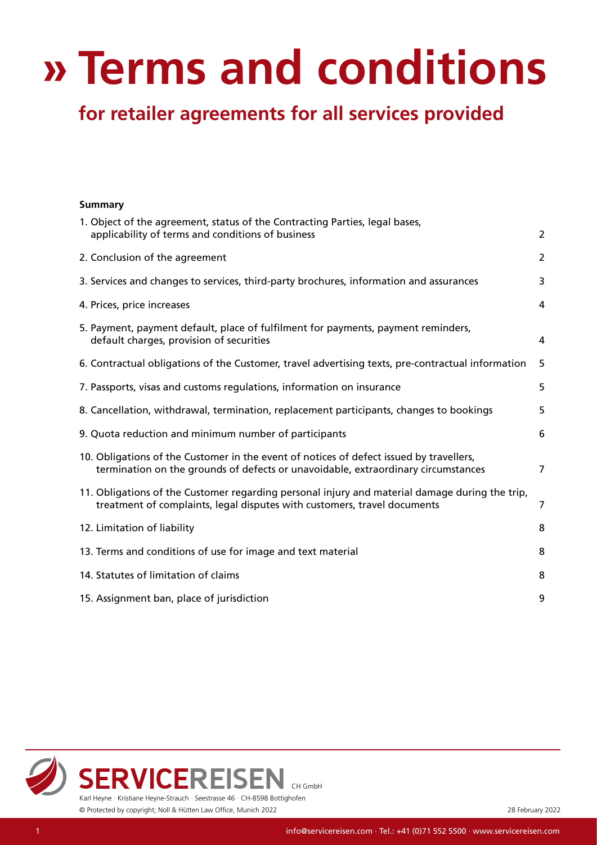# <span id="page-0-0"></span>**» Terms and conditions for retailer agreements for all services provided**

| 1. Object of the agreement, status of the Contracting Parties, legal bases,<br>applicability of terms and conditions of business                                             | $\overline{c}$ |
|------------------------------------------------------------------------------------------------------------------------------------------------------------------------------|----------------|
| 2. Conclusion of the agreement                                                                                                                                               | $\overline{2}$ |
| 3. Services and changes to services, third-party brochures, information and assurances                                                                                       | 3              |
| 4. Prices, price increases                                                                                                                                                   | 4              |
| 5. Payment, payment default, place of fulfilment for payments, payment reminders,<br>default charges, provision of securities                                                | 4              |
| 6. Contractual obligations of the Customer, travel advertising texts, pre-contractual information                                                                            | 5              |
| 7. Passports, visas and customs regulations, information on insurance                                                                                                        | 5              |
| 8. Cancellation, withdrawal, termination, replacement participants, changes to bookings                                                                                      | 5              |
| 9. Quota reduction and minimum number of participants                                                                                                                        | 6              |
| 10. Obligations of the Customer in the event of notices of defect issued by travellers,<br>termination on the grounds of defects or unavoidable, extraordinary circumstances | 7              |
| 11. Obligations of the Customer regarding personal injury and material damage during the trip,<br>treatment of complaints, legal disputes with customers, travel documents   | 7              |
| 12. Limitation of liability                                                                                                                                                  | 8              |
| 13. Terms and conditions of use for image and text material                                                                                                                  | 8              |
| 14. Statutes of limitation of claims                                                                                                                                         | 8              |
| 15. Assignment ban, place of jurisdiction                                                                                                                                    | 9              |



**Summary**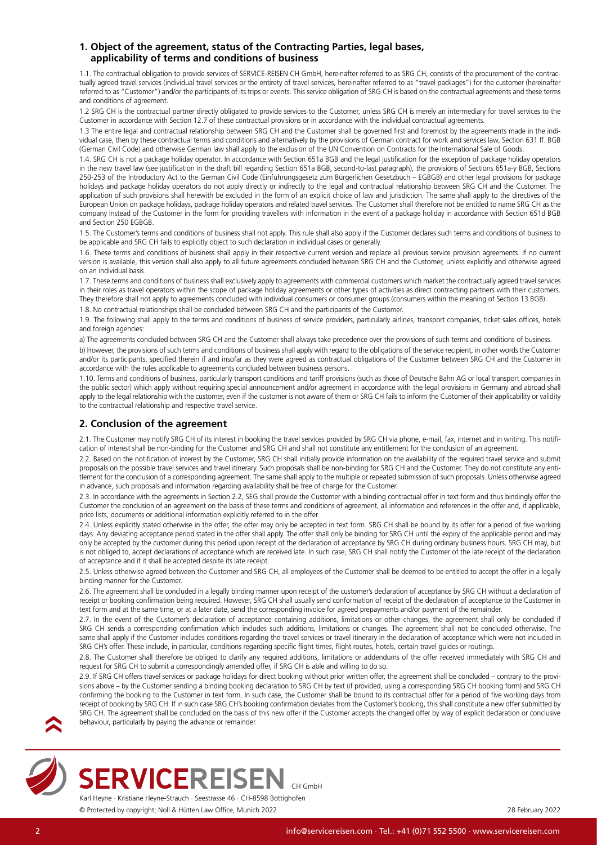# <span id="page-1-0"></span>**1. Object of the agreement, status of the Contracting Parties, legal bases, applicability of terms and conditions of business**

1.1. The contractual obligation to provide services of SERVICE-REISEN CH GmbH, hereinafter referred to as SRG CH, consists of the procurement of the contractually agreed travel services (individual travel services or the entirety of travel services, hereinafter referred to as "travel packages") for the customer (hereinafter referred to as "Customer") and/or the participants of its trips or events. This service obligation of SRG CH is based on the contractual agreements and these terms and conditions of agreement.

1.2 SRG CH is the contractual partner directly obligated to provide services to the Customer, unless SRG CH is merely an intermediary for travel services to the Customer in accordance with Section 12.7 of these contractual provisions or in accordance with the individual contractual agreements.

1.3 The entire legal and contractual relationship between SRG CH and the Customer shall be governed first and foremost by the agreements made in the individual case, then by these contractual terms and conditions and alternatively by the provisions of German contract for work and services law, Section 631 ff. BGB (German Civil Code) and otherwise German law shall apply to the exclusion of the UN Convention on Contracts for the International Sale of Goods.

1.4. SRG CH is not a package holiday operator. In accordance with Section 651a BGB and the legal justification for the exception of package holiday operators in the new travel law (see justification in the draft bill regarding Section 651a BGB, second-to-last paragraph), the provisions of Sections 651a-y BGB, Sections 250-253 of the Introductory Act to the German Civil Code (Einführungsgesetz zum Bürgerlichen Gesetzbuch – EGBGB) and other legal provisions for package holidays and package holiday operators do not apply directly or indirectly to the legal and contractual relationship between SRG CH and the Customer. The application of such provisions shall herewith be excluded in the form of an explicit choice of law and jurisdiction. The same shall apply to the directives of the European Union on package holidays, package holiday operators and related travel services. The Customer shall therefore not be entitled to name SRG CH as the company instead of the Customer in the form for providing travellers with information in the event of a package holiday in accordance with Section 651d BGB and Section 250 EGBGB.

1.5. The Customer's terms and conditions of business shall not apply. This rule shall also apply if the Customer declares such terms and conditions of business to be applicable and SRG CH fails to explicitly object to such declaration in individual cases or generally.

1.6. These terms and conditions of business shall apply in their respective current version and replace all previous service provision agreements. If no current version is available, this version shall also apply to all future agreements concluded between SRG CH and the Customer, unless explicitly and otherwise agreed on an individual basis.

1.7. These terms and conditions of business shall exclusively apply to agreements with commercial customers which market the contractually agreed travel services in their roles as travel operators within the scope of package holiday agreements or other types of activities as direct contracting partners with their customers. They therefore shall not apply to agreements concluded with individual consumers or consumer groups (consumers within the meaning of Section 13 BGB).

1.8. No contractual relationships shall be concluded between SRG CH and the participants of the Customer.

1.9. The following shall apply to the terms and conditions of business of service providers, particularly airlines, transport companies, ticket sales offices, hotels and foreign agencies:

a) The agreements concluded between SRG CH and the Customer shall always take precedence over the provisions of such terms and conditions of business.

b) However, the provisions of such terms and conditions of business shall apply with regard to the obligations of the service recipient, in other words the Customer and/or its participants, specified therein if and insofar as they were agreed as contractual obligations of the Customer between SRG CH and the Customer in accordance with the rules applicable to agreements concluded between business persons.

1.10. Terms and conditions of business, particularly transport conditions and tariff provisions (such as those of Deutsche Bahn AG or local transport companies in the public sector) which apply without requiring special announcement and/or agreement in accordance with the legal provisions in Germany and abroad shall apply to the legal relationship with the customer, even if the customer is not aware of them or SRG CH fails to inform the Customer of their applicability or validity to the contractual relationship and respective travel service.

# <span id="page-1-1"></span>**2. Conclusion of the agreement**

2.1. The Customer may notify SRG CH of its interest in booking the travel services provided by SRG CH via phone, e-mail, fax, internet and in writing. This notification of interest shall be non-binding for the Customer and SRG CH and shall not constitute any entitlement for the conclusion of an agreement.

2.2. Based on the notification of interest by the Customer, SRG CH shall initially provide information on the availability of the required travel service and submit proposals on the possible travel services and travel itinerary. Such proposals shall be non-binding for SRG CH and the Customer. They do not constitute any entitlement for the conclusion of a corresponding agreement. The same shall apply to the multiple or repeated submission of such proposals. Unless otherwise agreed in advance, such proposals and information regarding availability shall be free of charge for the Customer.

2.3. In accordance with the agreements in Section 2.2, SEG shall provide the Customer with a binding contractual offer in text form and thus bindingly offer the Customer the conclusion of an agreement on the basis of these terms and conditions of agreement, all information and references in the offer and, if applicable, price lists, documents or additional information explicitly referred to in the offer.

2.4. Unless explicitly stated otherwise in the offer, the offer may only be accepted in text form. SRG CH shall be bound by its offer for a period of five working days. Any deviating acceptance period stated in the offer shall apply. The offer shall only be binding for SRG CH until the expiry of the applicable period and may only be accepted by the customer during this period upon receipt of the declaration of acceptance by SRG CH during ordinary business hours. SRG CH may, but is not obliged to, accept declarations of acceptance which are received late. In such case, SRG CH shall notify the Customer of the late receipt of the declaration of acceptance and if it shall be accepted despite its late receipt.

2.5. Unless otherwise agreed between the Customer and SRG CH, all employees of the Customer shall be deemed to be entitled to accept the offer in a legally binding manner for the Customer.

2.6. The agreement shall be concluded in a legally binding manner upon receipt of the customer's declaration of acceptance by SRG CH without a declaration of receipt or booking confirmation being required. However, SRG CH shall usually send conformation of receipt of the declaration of acceptance to the Customer in text form and at the same time, or at a later date, send the corresponding invoice for agreed prepayments and/or payment of the remainder.

2.7. In the event of the Customer's declaration of acceptance containing additions, limitations or other changes, the agreement shall only be concluded if SRG CH sends a corresponding confirmation which includes such additions, limitations or changes. The agreement shall not be concluded otherwise. The same shall apply if the Customer includes conditions regarding the travel services or travel itinerary in the declaration of acceptance which were not included in SRG CH's offer. These include, in particular, conditions regarding specific flight times, flight routes, hotels, certain travel guides or routings.

2.8. The Customer shall therefore be obliged to clarify any required additions, limitations or addendums of the offer received immediately with SRG CH and request for SRG CH to submit a correspondingly amended offer, if SRG CH is able and willing to do so.

2.9. If SRG CH offers travel services or package holidays for direct booking without prior written offer, the agreement shall be concluded – contrary to the provisions above – by the Customer sending a binding booking declaration to SRG CH by text (if provided, using a corresponding SRG CH booking form) and SRG CH confirming the booking to the Customer in text form. In such case, the Customer shall be bound to its contractual offer for a period of five working days from receipt of booking by SRG CH. If in such case SRG CH's booking confirmation deviates from the Customer's booking, this shall constitute a new offer submitted by SRG CH. The agreement shall be concluded on the basis of this new offer if the Customer accepts the changed offer by way of explicit declaration or conclusive behaviour, particularly by paying the advance or remainder.





**SERVICEREISEN** CH GmbH Karl Heyne · Kristiane Heyne-Strauch · Seestrasse 46 · CH-8598 Bottighofen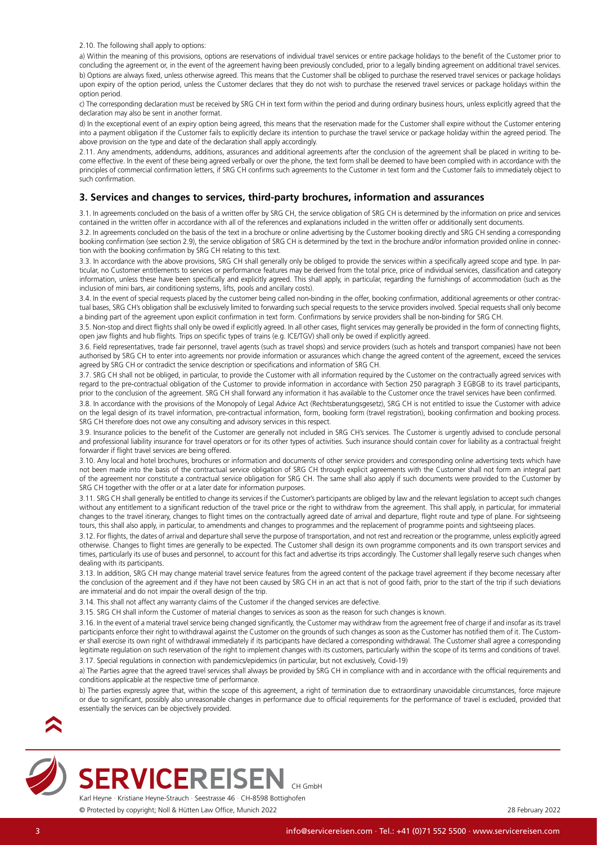<span id="page-2-0"></span>2.10. The following shall apply to options:

a) Within the meaning of this provisions, options are reservations of individual travel services or entire package holidays to the benefit of the Customer prior to concluding the agreement or, in the event of the agreement having been previously concluded, prior to a legally binding agreement on additional travel services. b) Options are always fixed, unless otherwise agreed. This means that the Customer shall be obliged to purchase the reserved travel services or package holidays upon expiry of the option period, unless the Customer declares that they do not wish to purchase the reserved travel services or package holidays within the option period.

c) The corresponding declaration must be received by SRG CH in text form within the period and during ordinary business hours, unless explicitly agreed that the declaration may also be sent in another format.

d) In the exceptional event of an expiry option being agreed, this means that the reservation made for the Customer shall expire without the Customer entering into a payment obligation if the Customer fails to explicitly declare its intention to purchase the travel service or package holiday within the agreed period. The above provision on the type and date of the declaration shall apply accordingly.

2.11. Any amendments, addendums, additions, assurances and additional agreements after the conclusion of the agreement shall be placed in writing to become effective. In the event of these being agreed verbally or over the phone, the text form shall be deemed to have been complied with in accordance with the principles of commercial confirmation letters, if SRG CH confirms such agreements to the Customer in text form and the Customer fails to immediately object to such confirmation.

# **3. Services and changes to services, third-party brochures, information and assurances**

3.1. In agreements concluded on the basis of a written offer by SRG CH, the service obligation of SRG CH is determined by the information on price and services contained in the written offer in accordance with all of the references and explanations included in the written offer or additionally sent documents.

3.2. In agreements concluded on the basis of the text in a brochure or online advertising by the Customer booking directly and SRG CH sending a corresponding booking confirmation (see section 2.9), the service obligation of SRG CH is determined by the text in the brochure and/or information provided online in connection with the booking confirmation by SRG CH relating to this text.

3.3. In accordance with the above provisions, SRG CH shall generally only be obliged to provide the services within a specifically agreed scope and type. In particular, no Customer entitlements to services or performance features may be derived from the total price, price of individual services, classification and category information, unless these have been specifically and explicitly agreed. This shall apply, in particular, regarding the furnishings of accommodation (such as the inclusion of mini bars, air conditioning systems, lifts, pools and ancillary costs).

3.4. In the event of special requests placed by the customer being called non-binding in the offer, booking confirmation, additional agreements or other contractual bases, SRG CH's obligation shall be exclusively limited to forwarding such special requests to the service providers involved. Special requests shall only become a binding part of the agreement upon explicit confirmation in text form. Confirmations by service providers shall be non-binding for SRG CH.

3.5. Non-stop and direct flights shall only be owed if explicitly agreed. In all other cases, flight services may generally be provided in the form of connecting flights, open jaw flights and hub flights. Trips on specific types of trains (e.g. ICE/TGV) shall only be owed if explicitly agreed.

3.6. Field representatives, trade fair personnel, travel agents (such as travel shops) and service providers (such as hotels and transport companies) have not been authorised by SRG CH to enter into agreements nor provide information or assurances which change the agreed content of the agreement, exceed the services agreed by SRG CH or contradict the service description or specifications and information of SRG CH.

3.7. SRG CH shall not be obliged, in particular, to provide the Customer with all information required by the Customer on the contractually agreed services with regard to the pre-contractual obligation of the Customer to provide information in accordance with Section 250 paragraph 3 EGBGB to its travel participants, prior to the conclusion of the agreement. SRG CH shall forward any information it has available to the Customer once the travel services have been confirmed.

3.8. In accordance with the provisions of the Monopoly of Legal Advice Act (Rechtsberatungsgesetz), SRG CH is not entitled to issue the Customer with advice on the legal design of its travel information, pre-contractual information, form, booking form (travel registration), booking confirmation and booking process. SRG CH therefore does not owe any consulting and advisory services in this respect.

3.9. Insurance policies to the benefit of the Customer are generally not included in SRG CH's services. The Customer is urgently advised to conclude personal and professional liability insurance for travel operators or for its other types of activities. Such insurance should contain cover for liability as a contractual freight forwarder if flight travel services are being offered.

3.10. Any local and hotel brochures, brochures or information and documents of other service providers and corresponding online advertising texts which have not been made into the basis of the contractual service obligation of SRG CH through explicit agreements with the Customer shall not form an integral part of the agreement nor constitute a contractual service obligation for SRG CH. The same shall also apply if such documents were provided to the Customer by SRG CH together with the offer or at a later date for information purposes.

3.11. SRG CH shall generally be entitled to change its services if the Customer's participants are obliged by law and the relevant legislation to accept such changes without any entitlement to a significant reduction of the travel price or the right to withdraw from the agreement. This shall apply, in particular, for immaterial changes to the travel itinerary, changes to flight times on the contractually agreed date of arrival and departure, flight route and type of plane. For sightseeing tours, this shall also apply, in particular, to amendments and changes to programmes and the replacement of programme points and sightseeing places.

3.12. For flights, the dates of arrival and departure shall serve the purpose of transportation, and not rest and recreation or the programme, unless explicitly agreed otherwise. Changes to flight times are generally to be expected. The Customer shall design its own programme components and its own transport services and times, particularly its use of buses and personnel, to account for this fact and advertise its trips accordingly. The Customer shall legally reserve such changes when dealing with its participants.

3.13. In addition, SRG CH may change material travel service features from the agreed content of the package travel agreement if they become necessary after the conclusion of the agreement and if they have not been caused by SRG CH in an act that is not of good faith, prior to the start of the trip if such deviations are immaterial and do not impair the overall design of the trip.

3.14. This shall not affect any warranty claims of the Customer if the changed services are defective.

3.15. SRG CH shall inform the Customer of material changes to services as soon as the reason for such changes is known.

3.16. In the event of a material travel service being changed significantly, the Customer may withdraw from the agreement free of charge if and insofar as its travel participants enforce their right to withdrawal against the Customer on the grounds of such changes as soon as the Customer has notified them of it. The Customer shall exercise its own right of withdrawal immediately if its participants have declared a corresponding withdrawal. The Customer shall agree a corresponding legitimate regulation on such reservation of the right to implement changes with its customers, particularly within the scope of its terms and conditions of travel. 3.17. Special regulations in connection with pandemics/epidemics (in particular, but not exclusively, Covid-19)

a) The Parties agree that the agreed travel services shall always be provided by SRG CH in compliance with and in accordance with the official requirements and conditions applicable at the respective time of performance.

b) The parties expressly agree that, within the scope of this agreement, a right of termination due to extraordinary unavoidable circumstances, force majeure or due to significant, possibly also unreasonable changes in performance due to official requirements for the performance of travel is excluded, provided that essentially the services can be objectively provided.





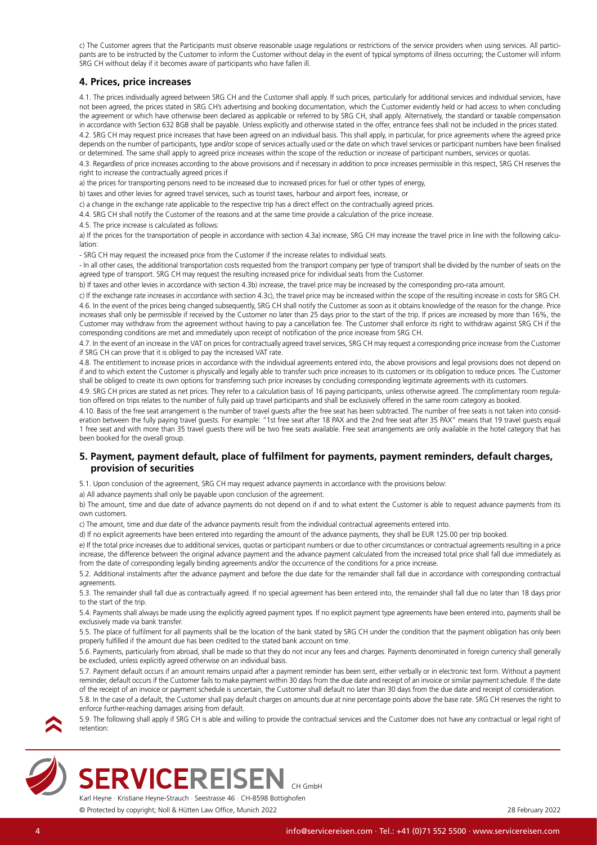<span id="page-3-0"></span>c) The Customer agrees that the Participants must observe reasonable usage regulations or restrictions of the service providers when using services. All participants are to be instructed by the Customer to inform the Customer without delay in the event of typical symptoms of illness occurring; the Customer will inform SRG CH without delay if it becomes aware of participants who have fallen ill.

# **4. Prices, price increases**

4.1. The prices individually agreed between SRG CH and the Customer shall apply. If such prices, particularly for additional services and individual services, have not been agreed, the prices stated in SRG CH's advertising and booking documentation, which the Customer evidently held or had access to when concluding the agreement or which have otherwise been declared as applicable or referred to by SRG CH, shall apply. Alternatively, the standard or taxable compensation in accordance with Section 632 BGB shall be payable. Unless explicitly and otherwise stated in the offer, entrance fees shall not be included in the prices stated.

4.2. SRG CH may request price increases that have been agreed on an individual basis. This shall apply, in particular, for price agreements where the agreed price depends on the number of participants, type and/or scope of services actually used or the date on which travel services or participant numbers have been finalised or determined. The same shall apply to agreed price increases within the scope of the reduction or increase of participant numbers, services or quotas.

4.3. Regardless of price increases according to the above provisions and if necessary in addition to price increases permissible in this respect, SRG CH reserves the right to increase the contractually agreed prices if

a) the prices for transporting persons need to be increased due to increased prices for fuel or other types of energy,

b) taxes and other levies for agreed travel services, such as tourist taxes, harbour and airport fees, increase, or

c) a change in the exchange rate applicable to the respective trip has a direct effect on the contractually agreed prices.

4.4. SRG CH shall notify the Customer of the reasons and at the same time provide a calculation of the price increase.

4.5. The price increase is calculated as follows:

a) If the prices for the transportation of people in accordance with section 4.3a) increase, SRG CH may increase the travel price in line with the following calculation:

- SRG CH may request the increased price from the Customer if the increase relates to individual seats.

- In all other cases, the additional transportation costs requested from the transport company per type of transport shall be divided by the number of seats on the agreed type of transport. SRG CH may request the resulting increased price for individual seats from the Customer.

b) If taxes and other levies in accordance with section 4.3b) increase, the travel price may be increased by the corresponding pro-rata amount.

c) If the exchange rate increases in accordance with section 4.3c), the travel price may be increased within the scope of the resulting increase in costs for SRG CH. 4.6. In the event of the prices being changed subsequently, SRG CH shall notify the Customer as soon as it obtains knowledge of the reason for the change. Price increases shall only be permissible if received by the Customer no later than 25 days prior to the start of the trip. If prices are increased by more than 16%, the Customer may withdraw from the agreement without having to pay a cancellation fee. The Customer shall enforce its right to withdraw against SRG CH if the corresponding conditions are met and immediately upon receipt of notification of the price increase from SRG CH.

4.7. In the event of an increase in the VAT on prices for contractually agreed travel services, SRG CH may request a corresponding price increase from the Customer if SRG CH can prove that it is obliged to pay the increased VAT rate.

4.8. The entitlement to increase prices in accordance with the individual agreements entered into, the above provisions and legal provisions does not depend on if and to which extent the Customer is physically and legally able to transfer such price increases to its customers or its obligation to reduce prices. The Customer shall be obliged to create its own options for transferring such price increases by concluding corresponding legitimate agreements with its customers.

4.9. SRG CH prices are stated as net prices. They refer to a calculation basis of 16 paying participants, unless otherwise agreed. The complimentary room regulation offered on trips relates to the number of fully paid up travel participants and shall be exclusively offered in the same room category as booked.

4.10. Basis of the free seat arrangement is the number of travel guests after the free seat has been subtracted. The number of free seats is not taken into consideration between the fully paying travel guests. For example: "1st free seat after 18 PAX and the 2nd free seat after 35 PAX" means that 19 travel quests equal 1 free seat and with more than 35 travel guests there will be two free seats available. Free seat arrangements are only available in the hotel category that has been booked for the overall group.

# <span id="page-3-1"></span>**5. Payment, payment default, place of fulfilment for payments, payment reminders, default charges, provision of securities**

5.1. Upon conclusion of the agreement, SRG CH may request advance payments in accordance with the provisions below:

a) All advance payments shall only be payable upon conclusion of the agreement.

b) The amount, time and due date of advance payments do not depend on if and to what extent the Customer is able to request advance payments from its own customers.

c) The amount, time and due date of the advance payments result from the individual contractual agreements entered into.

d) If no explicit agreements have been entered into regarding the amount of the advance payments, they shall be EUR 125.00 per trip booked.

e) If the total price increases due to additional services, quotas or participant numbers or due to other circumstances or contractual agreements resulting in a price increase, the difference between the original advance payment and the advance payment calculated from the increased total price shall fall due immediately as from the date of corresponding legally binding agreements and/or the occurrence of the conditions for a price increase.

5.2. Additional instalments after the advance payment and before the due date for the remainder shall fall due in accordance with corresponding contractual agreements.

5.3. The remainder shall fall due as contractually agreed. If no special agreement has been entered into, the remainder shall fall due no later than 18 days prior to the start of the trip.

5.4. Payments shall always be made using the explicitly agreed payment types. If no explicit payment type agreements have been entered into, payments shall be exclusively made via bank transfer.

5.5. The place of fulfilment for all payments shall be the location of the bank stated by SRG CH under the condition that the payment obligation has only been properly fulfilled if the amount due has been credited to the stated bank account on time.

5.6. Payments, particularly from abroad, shall be made so that they do not incur any fees and charges. Payments denominated in foreign currency shall generally be excluded, unless explicitly agreed otherwise on an individual basis.

5.7. Payment default occurs if an amount remains unpaid after a payment reminder has been sent, either verbally or in electronic text form. Without a payment reminder, default occurs if the Customer fails to make payment within 30 days from the due date and receipt of an invoice or similar payment schedule. If the date of the receipt of an invoice or payment schedule is uncertain, the Customer shall default no later than 30 days from the due date and receipt of consideration. 5.8. In the case of a default, the Customer shall pay default charges on amounts due at nine percentage points above the base rate. SRG CH reserves the right to enforce further-reaching damages arising from default.

5.9. The following shall apply if SRG CH is able and willing to provide the contractual services and the Customer does not have any contractual or legal right of retention:



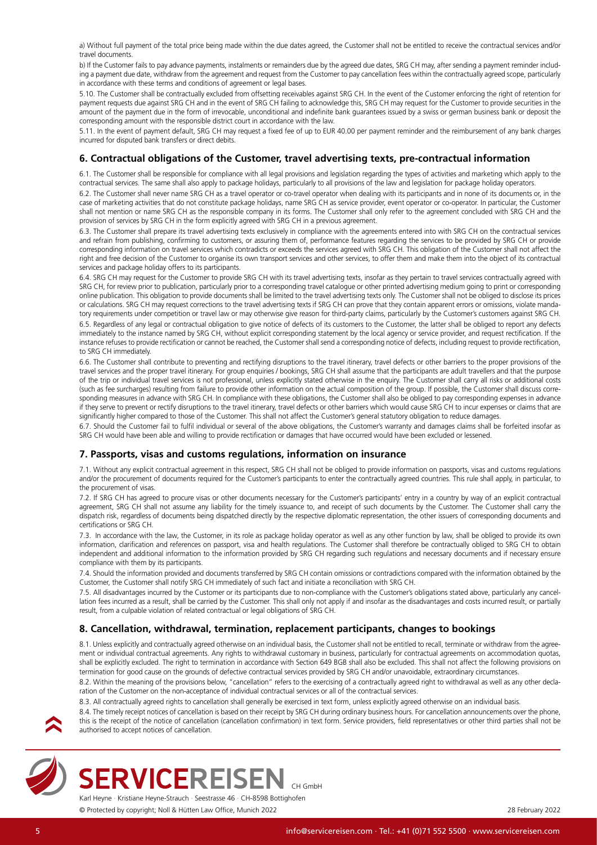<span id="page-4-0"></span>a) Without full payment of the total price being made within the due dates agreed, the Customer shall not be entitled to receive the contractual services and/or travel documents.

b) If the Customer fails to pay advance payments, instalments or remainders due by the agreed due dates, SRG CH may, after sending a payment reminder including a payment due date, withdraw from the agreement and request from the Customer to pay cancellation fees within the contractually agreed scope, particularly in accordance with these terms and conditions of agreement or legal bases.

5.10. The Customer shall be contractually excluded from offsetting receivables against SRG CH. In the event of the Customer enforcing the right of retention for payment requests due against SRG CH and in the event of SRG CH failing to acknowledge this, SRG CH may request for the Customer to provide securities in the amount of the payment due in the form of irrevocable, unconditional and indefinite bank guarantees issued by a swiss or german business bank or deposit the corresponding amount with the responsible district court in accordance with the law.

5.11. In the event of payment default, SRG CH may request a fixed fee of up to EUR 40.00 per payment reminder and the reimbursement of any bank charges incurred for disputed bank transfers or direct debits.

# <span id="page-4-1"></span>**6. Contractual obligations of the Customer, travel advertising texts, pre-contractual information**

6.1. The Customer shall be responsible for compliance with all legal provisions and legislation regarding the types of activities and marketing which apply to the contractual services. The same shall also apply to package holidays, particularly to all provisions of the law and legislation for package holiday operators.

6.2. The Customer shall never name SRG CH as a travel operator or co-travel operator when dealing with its participants and in none of its documents or, in the case of marketing activities that do not constitute package holidays, name SRG CH as service provider, event operator or co-operator. In particular, the Customer shall not mention or name SRG CH as the responsible company in its forms. The Customer shall only refer to the agreement concluded with SRG CH and the provision of services by SRG CH in the form explicitly agreed with SRG CH in a previous agreement.

6.3. The Customer shall prepare its travel advertising texts exclusively in compliance with the agreements entered into with SRG CH on the contractual services and refrain from publishing, confirming to customers, or assuring them of, performance features regarding the services to be provided by SRG CH or provide corresponding information on travel services which contradicts or exceeds the services agreed with SRG CH. This obligation of the Customer shall not affect the right and free decision of the Customer to organise its own transport services and other services, to offer them and make them into the object of its contractual services and package holiday offers to its participants.

6.4. SRG CH may request for the Customer to provide SRG CH with its travel advertising texts, insofar as they pertain to travel services contractually agreed with SRG CH, for review prior to publication, particularly prior to a corresponding travel catalogue or other printed advertising medium going to print or corresponding online publication. This obligation to provide documents shall be limited to the travel advertising texts only. The Customer shall not be obliged to disclose its prices or calculations. SRG CH may request corrections to the travel advertising texts if SRG CH can prove that they contain apparent errors or omissions, violate mandatory requirements under competition or travel law or may otherwise give reason for third-party claims, particularly by the Customer's customers against SRG CH.

6.5. Regardless of any legal or contractual obligation to give notice of defects of its customers to the Customer, the latter shall be obliged to report any defects immediately to the instance named by SRG CH, without explicit corresponding statement by the local agency or service provider, and request rectification. If the instance refuses to provide rectification or cannot be reached, the Customer shall send a corresponding notice of defects, including request to provide rectification, to SRG CH immediately.

6.6. The Customer shall contribute to preventing and rectifying disruptions to the travel itinerary, travel defects or other barriers to the proper provisions of the travel services and the proper travel itinerary. For group enquiries / bookings, SRG CH shall assume that the participants are adult travellers and that the purpose of the trip or individual travel services is not professional, unless explicitly stated otherwise in the enquiry. The Customer shall carry all risks or additional costs (such as fee surcharges) resulting from failure to provide other information on the actual composition of the group. If possible, the Customer shall discuss corresponding measures in advance with SRG CH. In compliance with these obligations, the Customer shall also be obliged to pay corresponding expenses in advance if they serve to prevent or rectify disruptions to the travel itinerary, travel defects or other barriers which would cause SRG CH to incur expenses or claims that are significantly higher compared to those of the Customer. This shall not affect the Customer's general statutory obligation to reduce damages.

6.7. Should the Customer fail to fulfil individual or several of the above obligations, the Customer's warranty and damages claims shall be forfeited insofar as SRG CH would have been able and willing to provide rectification or damages that have occurred would have been excluded or lessened.

# <span id="page-4-2"></span>**7. Passports, visas and customs regulations, information on insurance**

7.1. Without any explicit contractual agreement in this respect, SRG CH shall not be obliged to provide information on passports, visas and customs regulations and/or the procurement of documents required for the Customer's participants to enter the contractually agreed countries. This rule shall apply, in particular, to the procurement of visas.

7.2. If SRG CH has agreed to procure visas or other documents necessary for the Customer's participants' entry in a country by way of an explicit contractual agreement, SRG CH shall not assume any liability for the timely issuance to, and receipt of such documents by the Customer. The Customer shall carry the dispatch risk, regardless of documents being dispatched directly by the respective diplomatic representation, the other issuers of corresponding documents and certifications or SRG CH.

7.3. In accordance with the law, the Customer, in its role as package holiday operator as well as any other function by law, shall be obliged to provide its own information, clarification and references on passport, visa and health regulations. The Customer shall therefore be contractually obliged to SRG CH to obtain independent and additional information to the information provided by SRG CH regarding such regulations and necessary documents and if necessary ensure compliance with them by its participants.

7.4. Should the information provided and documents transferred by SRG CH contain omissions or contradictions compared with the information obtained by the Customer, the Customer shall notify SRG CH immediately of such fact and initiate a reconciliation with SRG CH.

7.5. All disadvantages incurred by the Customer or its participants due to non-compliance with the Customer's obligations stated above, particularly any cancellation fees incurred as a result, shall be carried by the Customer. This shall only not apply if and insofar as the disadvantages and costs incurred result, or partially result, from a culpable violation of related contractual or legal obligations of SRG CH.

## **8. Cancellation, withdrawal, termination, replacement participants, changes to bookings**

8.1. Unless explicitly and contractually agreed otherwise on an individual basis, the Customer shall not be entitled to recall, terminate or withdraw from the agreement or individual contractual agreements. Any rights to withdrawal customary in business, particularly for contractual agreements on accommodation quotas, shall be explicitly excluded. The right to termination in accordance with Section 649 BGB shall also be excluded. This shall not affect the following provisions on termination for good cause on the grounds of defective contractual services provided by SRG CH and/or unavoidable, extraordinary circumstances.

8.2. Within the meaning of the provisions below, "cancellation" refers to the exercising of a contractually agreed right to withdrawal as well as any other declaration of the Customer on the non-acceptance of individual contractual services or all of the contractual services.

8.3. All contractually agreed rights to cancellation shall generally be exercised in text form, unless explicitly agreed otherwise on an individual basis.

8.4. The timely receipt notices of cancellation is based on their receipt by SRG CH during ordinary business hours. For cancellation announcements over the phone, this is the receipt of the notice of cancellation (cancellation confirmation) in text form. Service providers, field representatives or other third parties shall not be authorised to accept notices of cancellation.



**SERVICEREISEN** 

Karl Heyne · Kristiane Heyne-Strauch · Seestrasse 46 · CH-8598 Bottighofen © Protected by copyright; Noll & Hütten Law Office, Munich 2022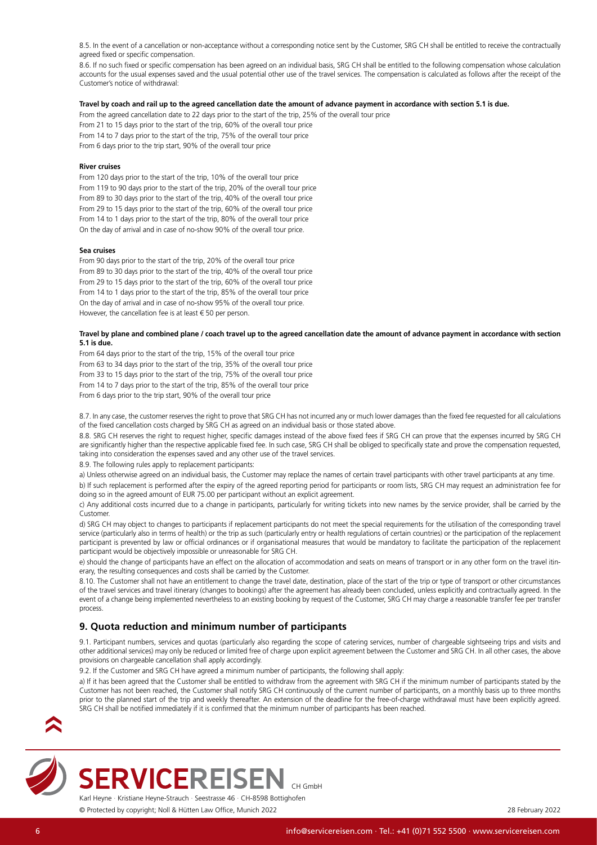<span id="page-5-0"></span>8.5. In the event of a cancellation or non-acceptance without a corresponding notice sent by the Customer, SRG CH shall be entitled to receive the contractually agreed fixed or specific compensation.

8.6. If no such fixed or specific compensation has been agreed on an individual basis, SRG CH shall be entitled to the following compensation whose calculation accounts for the usual expenses saved and the usual potential other use of the travel services. The compensation is calculated as follows after the receipt of the Customer's notice of withdrawal:

#### **Travel by coach and rail up to the agreed cancellation date the amount of advance payment in accordance with section 5.1 is due.**

From the agreed cancellation date to 22 days prior to the start of the trip, 25% of the overall tour price From 21 to 15 days prior to the start of the trip, 60% of the overall tour price From 14 to 7 days prior to the start of the trip, 75% of the overall tour price

From 6 days prior to the trip start, 90% of the overall tour price

### **River cruises**

From 120 days prior to the start of the trip, 10% of the overall tour price From 119 to 90 days prior to the start of the trip, 20% of the overall tour price From 89 to 30 days prior to the start of the trip, 40% of the overall tour price From 29 to 15 days prior to the start of the trip, 60% of the overall tour price From 14 to 1 days prior to the start of the trip, 80% of the overall tour price On the day of arrival and in case of no-show 90% of the overall tour price.

#### **Sea cruises**

From 90 days prior to the start of the trip, 20% of the overall tour price From 89 to 30 days prior to the start of the trip, 40% of the overall tour price From 29 to 15 days prior to the start of the trip, 60% of the overall tour price From 14 to 1 days prior to the start of the trip, 85% of the overall tour price On the day of arrival and in case of no-show 95% of the overall tour price. However, the cancellation fee is at least € 50 per person.

### **Travel by plane and combined plane / coach travel up to the agreed cancellation date the amount of advance payment in accordance with section 5.1 is due.**

From 64 days prior to the start of the trip, 15% of the overall tour price From 63 to 34 days prior to the start of the trip, 35% of the overall tour price From 33 to 15 days prior to the start of the trip, 75% of the overall tour price From 14 to 7 days prior to the start of the trip, 85% of the overall tour price From 6 days prior to the trip start, 90% of the overall tour price

8.7. In any case, the customer reserves the right to prove that SRG CH has not incurred any or much lower damages than the fixed fee requested for all calculations of the fixed cancellation costs charged by SRG CH as agreed on an individual basis or those stated above.

8.8. SRG CH reserves the right to request higher, specific damages instead of the above fixed fees if SRG CH can prove that the expenses incurred by SRG CH are significantly higher than the respective applicable fixed fee. In such case, SRG CH shall be obliged to specifically state and prove the compensation requested, taking into consideration the expenses saved and any other use of the travel services.

8.9. The following rules apply to replacement participants:

a) Unless otherwise agreed on an individual basis, the Customer may replace the names of certain travel participants with other travel participants at any time. b) If such replacement is performed after the expiry of the agreed reporting period for participants or room lists, SRG CH may request an administration fee for doing so in the agreed amount of EUR 75.00 per participant without an explicit agreement.

c) Any additional costs incurred due to a change in participants, particularly for writing tickets into new names by the service provider, shall be carried by the Customer.

d) SRG CH may object to changes to participants if replacement participants do not meet the special requirements for the utilisation of the corresponding travel service (particularly also in terms of health) or the trip as such (particularly entry or health regulations of certain countries) or the participation of the replacement participant is prevented by law or official ordinances or if organisational measures that would be mandatory to facilitate the participation of the replacement participant would be objectively impossible or unreasonable for SRG CH.

e) should the change of participants have an effect on the allocation of accommodation and seats on means of transport or in any other form on the travel itinerary, the resulting consequences and costs shall be carried by the Customer.

8.10. The Customer shall not have an entitlement to change the travel date, destination, place of the start of the trip or type of transport or other circumstances of the travel services and travel itinerary (changes to bookings) after the agreement has already been concluded, unless explicitly and contractually agreed. In the event of a change being implemented nevertheless to an existing booking by request of the Customer, SRG CH may charge a reasonable transfer fee per transfer process.

# <span id="page-5-1"></span>**9. Quota reduction and minimum number of participants**

9.1. Participant numbers, services and quotas (particularly also regarding the scope of catering services, number of chargeable sightseeing trips and visits and other additional services) may only be reduced or limited free of charge upon explicit agreement between the Customer and SRG CH. In all other cases, the above provisions on chargeable cancellation shall apply accordingly.

9.2. If the Customer and SRG CH have agreed a minimum number of participants, the following shall apply:

a) If it has been agreed that the Customer shall be entitled to withdraw from the agreement with SRG CH if the minimum number of participants stated by the Customer has not been reached, the Customer shall notify SRG CH continuously of the current number of participants, on a monthly basis up to three months prior to the planned start of the trip and weekly thereafter. An extension of the deadline for the free-of-charge withdrawal must have been explicitly agreed. SRG CH shall be notified immediately if it is confirmed that the minimum number of participants has been reached.





Karl Heyne · Kristiane Heyne-Strauch · Seestrasse 46 · CH-8598 Bottighofen **SERVICEREISEN**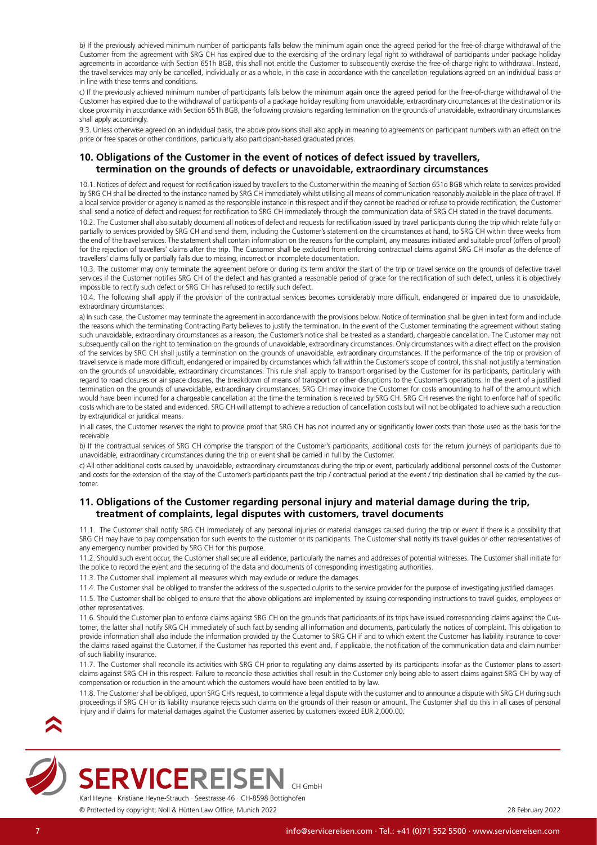<span id="page-6-0"></span>b) If the previously achieved minimum number of participants falls below the minimum again once the agreed period for the free-of-charge withdrawal of the Customer from the agreement with SRG CH has expired due to the exercising of the ordinary legal right to withdrawal of participants under package holiday agreements in accordance with Section 651h BGB, this shall not entitle the Customer to subsequently exercise the free-of-charge right to withdrawal. Instead, the travel services may only be cancelled, individually or as a whole, in this case in accordance with the cancellation regulations agreed on an individual basis or in line with these terms and conditions.

c) If the previously achieved minimum number of participants falls below the minimum again once the agreed period for the free-of-charge withdrawal of the Customer has expired due to the withdrawal of participants of a package holiday resulting from unavoidable, extraordinary circumstances at the destination or its close proximity in accordance with Section 651h BGB, the following provisions regarding termination on the grounds of unavoidable, extraordinary circumstances shall apply accordingly.

9.3. Unless otherwise agreed on an individual basis, the above provisions shall also apply in meaning to agreements on participant numbers with an effect on the price or free spaces or other conditions, particularly also participant-based graduated prices.

# **10. Obligations of the Customer in the event of notices of defect issued by travellers, termination on the grounds of defects or unavoidable, extraordinary circumstances**

10.1. Notices of defect and request for rectification issued by travellers to the Customer within the meaning of Section 651o BGB which relate to services provided by SRG CH shall be directed to the instance named by SRG CH immediately whilst utilising all means of communication reasonably available in the place of travel. If a local service provider or agency is named as the responsible instance in this respect and if they cannot be reached or refuse to provide rectification, the Customer shall send a notice of defect and request for rectification to SRG CH immediately through the communication data of SRG CH stated in the travel documents.

10.2. The Customer shall also suitably document all notices of defect and requests for rectification issued by travel participants during the trip which relate fully or partially to services provided by SRG CH and send them, including the Customer's statement on the circumstances at hand, to SRG CH within three weeks from the end of the travel services. The statement shall contain information on the reasons for the complaint, any measures initiated and suitable proof (offers of proof) for the rejection of travellers' claims after the trip. The Customer shall be excluded from enforcing contractual claims against SRG CH insofar as the defence of travellers' claims fully or partially fails due to missing, incorrect or incomplete documentation.

10.3. The customer may only terminate the agreement before or during its term and/or the start of the trip or travel service on the grounds of defective travel services if the Customer notifies SRG CH of the defect and has granted a reasonable period of grace for the rectification of such defect, unless it is objectively impossible to rectify such defect or SRG CH has refused to rectify such defect.

10.4. The following shall apply if the provision of the contractual services becomes considerably more difficult, endangered or impaired due to unavoidable, extraordinary circumstances:

a) In such case, the Customer may terminate the agreement in accordance with the provisions below. Notice of termination shall be given in text form and include the reasons which the terminating Contracting Party believes to justify the termination. In the event of the Customer terminating the agreement without stating such unavoidable, extraordinary circumstances as a reason, the Customer's notice shall be treated as a standard, chargeable cancellation. The Customer may not subsequently call on the right to termination on the grounds of unavoidable, extraordinary circumstances. Only circumstances with a direct effect on the provision of the services by SRG CH shall justify a termination on the grounds of unavoidable, extraordinary circumstances. If the performance of the trip or provision of travel service is made more difficult, endangered or impaired by circumstances which fall within the Customer's scope of control, this shall not justify a termination on the grounds of unavoidable, extraordinary circumstances. This rule shall apply to transport organised by the Customer for its participants, particularly with regard to road closures or air space closures, the breakdown of means of transport or other disruptions to the Customer's operations. In the event of a justified termination on the grounds of unavoidable, extraordinary circumstances, SRG CH may invoice the Customer for costs amounting to half of the amount which would have been incurred for a chargeable cancellation at the time the termination is received by SRG CH. SRG CH reserves the right to enforce half of specific costs which are to be stated and evidenced. SRG CH will attempt to achieve a reduction of cancellation costs but will not be obligated to achieve such a reduction by extrajuridical or juridical means.

In all cases, the Customer reserves the right to provide proof that SRG CH has not incurred any or significantly lower costs than those used as the basis for the receivable.

b) If the contractual services of SRG CH comprise the transport of the Customer's participants, additional costs for the return journeys of participants due to unavoidable, extraordinary circumstances during the trip or event shall be carried in full by the Customer.

c) All other additional costs caused by unavoidable, extraordinary circumstances during the trip or event, particularly additional personnel costs of the Customer and costs for the extension of the stay of the Customer's participants past the trip / contractual period at the event / trip destination shall be carried by the customer.

# <span id="page-6-1"></span>**11. Obligations of the Customer regarding personal injury and material damage during the trip, treatment of complaints, legal disputes with customers, travel documents**

11.1. The Customer shall notify SRG CH immediately of any personal injuries or material damages caused during the trip or event if there is a possibility that SRG CH may have to pay compensation for such events to the customer or its participants. The Customer shall notify its travel guides or other representatives of any emergency number provided by SRG CH for this purpose.

11.2. Should such event occur, the Customer shall secure all evidence, particularly the names and addresses of potential witnesses. The Customer shall initiate for the police to record the event and the securing of the data and documents of corresponding investigating authorities.

11.3. The Customer shall implement all measures which may exclude or reduce the damages.

11.4. The Customer shall be obliged to transfer the address of the suspected culprits to the service provider for the purpose of investigating justified damages.

11.5. The Customer shall be obliged to ensure that the above obligations are implemented by issuing corresponding instructions to travel guides, employees or other representatives.

11.6. Should the Customer plan to enforce claims against SRG CH on the grounds that participants of its trips have issued corresponding claims against the Customer, the latter shall notify SRG CH immediately of such fact by sending all information and documents, particularly the notices of complaint. This obligation to provide information shall also include the information provided by the Customer to SRG CH if and to which extent the Customer has liability insurance to cover the claims raised against the Customer, if the Customer has reported this event and, if applicable, the notification of the communication data and claim number of such liability insurance.

11.7. The Customer shall reconcile its activities with SRG CH prior to regulating any claims asserted by its participants insofar as the Customer plans to assert claims against SRG CH in this respect. Failure to reconcile these activities shall result in the Customer only being able to assert claims against SRG CH by way of compensation or reduction in the amount which the customers would have been entitled to by law.

11.8. The Customer shall be obliged, upon SRG CH's request, to commence a legal dispute with the customer and to announce a dispute with SRG CH during such proceedings if SRG CH or its liability insurance rejects such claims on the grounds of their reason or amount. The Customer shall do this in all cases of personal injury and if claims for material damages against the Customer asserted by customers exceed EUR 2,000.00.





Karl Heyne · Kristiane Heyne-Strauch · Seestrasse 46 · CH-8598 Bottighofen **SERVICEREISEN**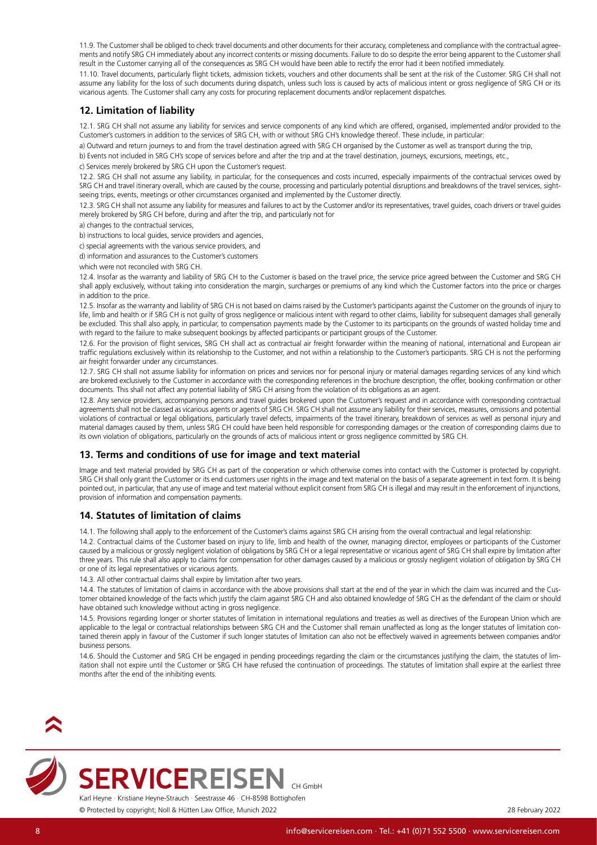<span id="page-7-0"></span>11.9. The Customer shall be obliged to check travel documents and other documents for their accuracy, completeness and compliance with the contractual agreements and notify SRG CH immediately about any incorrect contents or missing documents. Failure to do so despite the error being apparent to the Customer shall result in the Customer carrying all of the consequences as SRG CH would have been able to rectify the error had it been notified immediately.

11.10. Travel documents, particularly flight tickets, admission tickets, vouchers and other documents shall be sent at the risk of the Customer. SRG CH shall not assume any liability for the loss of such documents during dispatch, unless such loss is caused by acts of malicious intent or gross negligence of SRG CH or its vicarious agents. The Customer shall carry any costs for procuring replacement documents and/or replacement dispatches.

# **12. Limitation of liability**

12.1. SRG CH shall not assume any liability for services and service components of any kind which are offered, organised, implemented and/or provided to the Customer's customers in addition to the services of SRG CH, with or without SRG CH's knowledge thereof. These include, in particular:

a) Outward and return journeys to and from the travel destination agreed with SRG CH organised by the Customer as well as transport during the trip,

b) Events not included in SRG CH's scope of services before and after the trip and at the travel destination, journeys, excursions, meetings, etc.,

c) Services merely brokered by SRG CH upon the Customer's request.

12.2. SRG CH shall not assume any liability, in particular, for the consequences and costs incurred, especially impairments of the contractual services owed by SRG CH and travel itinerary overall, which are caused by the course, processing and particularly potential disruptions and breakdowns of the travel services, sightseeing trips, events, meetings or other circumstances organised and implemented by the Customer directly.

12.3. SRG CH shall not assume any liability for measures and failures to act by the Customer and/or its representatives, travel guides, coach drivers or travel guides merely brokered by SRG CH before, during and after the trip, and particularly not for

a) changes to the contractual services,

b) instructions to local guides, service providers and agencies,

c) special agreements with the various service providers, and

d) information and assurances to the Customer's customers

which were not reconciled with SRG CH.

12.4. Insofar as the warranty and liability of SRG CH to the Customer is based on the travel price, the service price agreed between the Customer and SRG CH shall apply exclusively, without taking into consideration the margin, surcharges or premiums of any kind which the Customer factors into the price or charges in addition to the price.

12.5. Insofar as the warranty and liability of SRG CH is not based on claims raised by the Customer's participants against the Customer on the grounds of injury to life, limb and health or if SRG CH is not guilty of gross negligence or malicious intent with regard to other claims, liability for subsequent damages shall generally be excluded. This shall also apply, in particular, to compensation payments made by the Customer to its participants on the grounds of wasted holiday time and with regard to the failure to make subsequent bookings by affected participants or participant groups of the Customer.

12.6. For the provision of flight services, SRG CH shall act as contractual air freight forwarder within the meaning of national, international and European air traffic regulations exclusively within its relationship to the Customer, and not within a relationship to the Customer's participants. SRG CH is not the performing air freight forwarder under any circumstances.

12.7. SRG CH shall not assume liability for information on prices and services nor for personal injury or material damages regarding services of any kind which are brokered exclusively to the Customer in accordance with the corresponding references in the brochure description, the offer, booking confirmation or other documents. This shall not affect any potential liability of SRG CH arising from the violation of its obligations as an agent.

12.8. Any service providers, accompanying persons and travel guides brokered upon the Customer's request and in accordance with corresponding contractual agreements shall not be classed as vicarious agents or agents of SRG CH. SRG CH shall not assume any liability for their services, measures, omissions and potential violations of contractual or legal obligations, particularly travel defects, impairments of the travel itinerary, breakdown of services as well as personal injury and material damages caused by them, unless SRG CH could have been held responsible for corresponding damages or the creation of corresponding claims due to its own violation of obligations, particularly on the grounds of acts of malicious intent or gross negligence committed by SRG CH.

# **13. Terms and conditions of use for image and text material**

Image and text material provided by SRG CH as part of the cooperation or which otherwise comes into contact with the Customer is protected by copyright. SRG CH shall only grant the Customer or its end customers user rights in the image and text material on the basis of a separate agreement in text form. It is being pointed out, in particular, that any use of image and text material without explicit consent from SRG CH is illegal and may result in the enforcement of injunctions, provision of information and compensation payments.

# **14. Statutes of limitation of claims**

14.1. The following shall apply to the enforcement of the Customer's claims against SRG CH arising from the overall contractual and legal relationship:

14.2. Contractual claims of the Customer based on injury to life, limb and health of the owner, managing director, employees or participants of the Customer caused by a malicious or grossly negligent violation of obligations by SRG CH or a legal representative or vicarious agent of SRG CH shall expire by limitation after three years. This rule shall also apply to claims for compensation for other damages caused by a malicious or grossly negligent violation of obligation by SRG CH or one of its legal representatives or vicarious agents.

14.3. All other contractual claims shall expire by limitation after two years.

14.4. The statutes of limitation of claims in accordance with the above provisions shall start at the end of the year in which the claim was incurred and the Customer obtained knowledge of the facts which justify the claim against SRG CH and also obtained knowledge of SRG CH as the defendant of the claim or should have obtained such knowledge without acting in gross negligence.

14.5. Provisions regarding longer or shorter statutes of limitation in international regulations and treaties as well as directives of the European Union which are applicable to the legal or contractual relationships between SRG CH and the Customer shall remain unaffected as long as the longer statutes of limitation contained therein apply in favour of the Customer if such longer statutes of limitation can also not be effectively waived in agreements between companies and/or business persons.

14.6. Should the Customer and SRG CH be engaged in pending proceedings regarding the claim or the circumstances justifying the claim, the statutes of limitation shall not expire until the Customer or SRG CH have refused the continuation of proceedings. The statutes of limitation shall expire at the earliest three months after the end of the inhibiting events.





Karl Heyne · Kristiane Heyne-Strauch · Seestrasse 46 · CH-8598 Bottighofen **SERVICEREISEN**